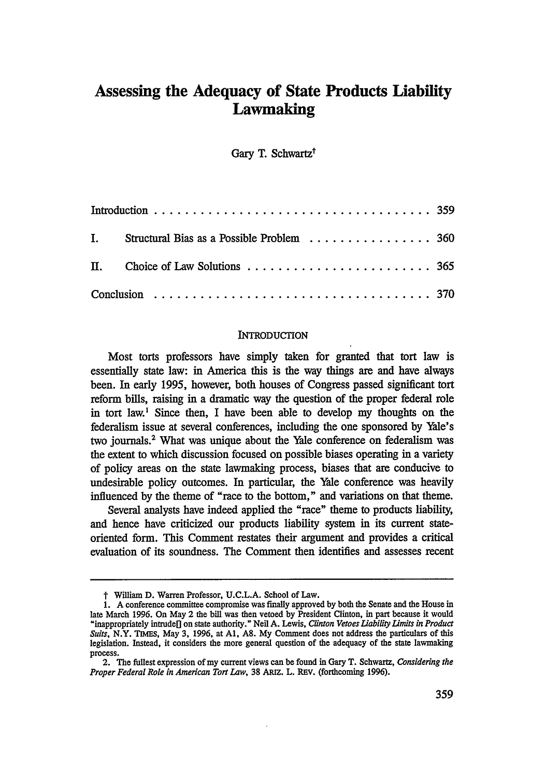# Assessing **the Adequacy of State Products Liability Lawmaking**

Gary T. Schwartz<sup>†</sup>

#### **INTRODUCTION**

Most torts professors have simply taken for granted that tort law is essentially state law: in America this is the way things are and have always been. In early 1995, however, both houses of Congress passed significant tort reform bills, raising in a dramatic way the question of the proper federal role in tort law.<sup>1</sup> Since then, I have been able to develop my thoughts on the federalism issue at several conferences, including the one sponsored by Yale's two journals.2 What was unique about the Yale conference on federalism was the extent to which discussion focused on possible biases operating in a variety of policy areas on the state lawmaking process, biases that are conducive to undesirable policy outcomes. In particular, the Yale conference was heavily influenced by the theme of "race to the bottom," and variations on that theme.

Several analysts have indeed applied the "race" theme to products liability, and hence have criticized our products liability system in its current stateoriented form. This Comment restates their argument and provides a critical evaluation of its soundness. The Comment then identifies and assesses recent

t William D. Warren Professor, U.C.L.A. School of Law.

**<sup>1.</sup>** A conference committee compromise was finally approved **by** both the Senate and the House in late March 1996. On May 2 the bill was then vetoed by President Clinton, in part because it would "inappropriately intrudefI on state authority." Neil **A.** Lewis, *Clinton Vetoes Liability Limits in Product Suits,* N.Y. TIMES, May **3,** 1996, at **Al, AS.** My Comment does not address the particulars of this legislation. Instead, it considers the more general question of the adequacy of the state lawmaking process.

<sup>2.</sup> The fullest expression of my current views can be found in Gary T. Schwartz, *Considering the Proper Federal Role in American Tort Law,* 38 ARIz. L. REv. (forthcoming 1996).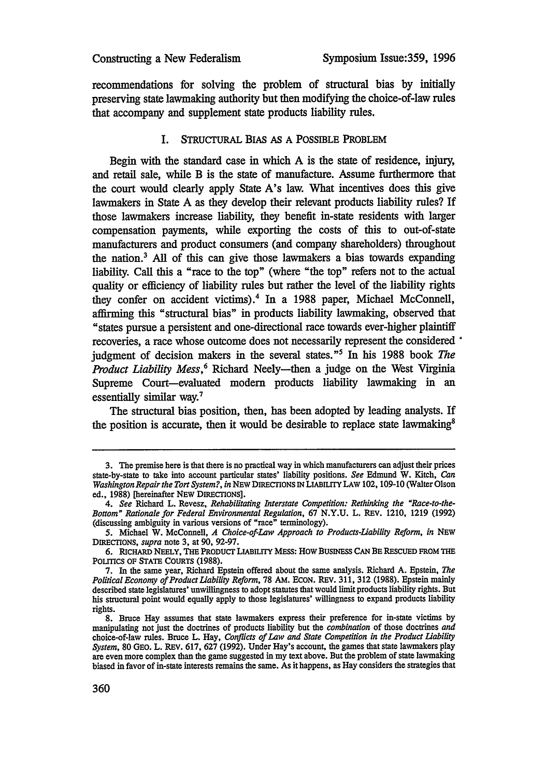recommendations for solving the problem of structural bias by initially preserving state lawmaking authority but then modifying the choice-of-law rules that accompany and supplement state products liability rules.

# I. **STRUCTURAL BIAS AS A** POSSIBLE PROBLEM

Begin with the standard case in which A is the state of residence, injury, and retail sale, while B is the state of manufacture. Assume furthermore that the court would clearly apply State A's law. What incentives does this give lawmakers in State A as they develop their relevant products liability rules? If those lawmakers increase liability, they benefit in-state residents with larger compensation payments, while exporting the costs of this to out-of-state manufacturers and product consumers (and company shareholders) throughout the nation.3 All of this can give those lawmakers a bias towards expanding liability. Call this a "race to the top" (where "the top" refers not to the actual quality or efficiency of liability rules but rather the level of the liability rights they confer on accident victims).4 In a 1988 paper, Michael McConnell, affirming this "structural bias" in products liability lawmaking, observed that "states pursue a persistent and one-directional race towards ever-higher plaintiff recoveries, a race whose outcome does not necessarily represent the considered judgment of decision makers in the several states."<sup>5</sup> In his 1988 book *The Product Liability Mess,6* Richard Neely-then a judge on the West Virginia Supreme Court-evaluated modem products liability lawmaking in an essentially similar way.7

The structural bias position, then, has been adopted by leading analysts. If the position is accurate, then it would be desirable to replace state lawmaking'

**<sup>3.</sup>** The premise here is that there is no practical way in which manufacturers can adjust their prices state-by-state to take into account particular states' liability positions. *See* Edmund W. Kitch, *Can Washington Repair the Tort System?, in* **NEW** DIRECTIONS IN LIABILITY LAW 102, 109-10 (Walter Olson ed., 1988) [hereinafter **NEW** DIRECTIONS].

*<sup>4.</sup> See* Richard L. Revesz, *Rehabilitating Interstate Competition: Rethinking the "Race-to-the-Bottom" Rationale for Federal Environmental Regulation,* 67 N.Y.U. L. REv. 1210, 1219 (1992) (discussing ambiguity in various versions of "race" terminology).

<sup>5.</sup> Michael W. McConnell, *A Choice-of-Law Approach to Products-Liability Reform, in* NEW DIRECTIONS, *supra* note 3, at 90, 92-97.

**<sup>6.</sup>** RICHARD **NEELY,** THE **PRODUCT** LIABILITY **MESS:** HOW BUSINESS **CAN** BE **RESCUED** FROM THE *POLITICS* OF STATE COURTS **(1988).**

**<sup>7.</sup>** In the same year, Richard Epstein offered about the same analysis. Richard **A.** Epstein, *The Political Economy of Product Liability Reform,* 78 AM. ECON. REv. 311, 312 (1988). Epstein mainly described state legislatures' unwillingness to adopt statutes that would limit products liability rights. But his structural point would equally apply to those legislatures' willingness to expand products liability rights.

<sup>8.</sup> Bruce Hay assumes that state lawmakers express their preference for in-state victims by manipulating not just the doctrines of products liability but the *combination* of those doctrines *and* choice-of-law rules. Bruce L. Hay, *Conflicts of Law and State Competition in the Product Liability System,* 80 GEo. L. REv. 617, 627 (1992). Under Hay's account, the games that state lawmakers play are even more complex than the game suggested in my text above. But the problem of state lawmaking biased in favor of in-state interests remains the same. As it happens, as Hay considers the strategies that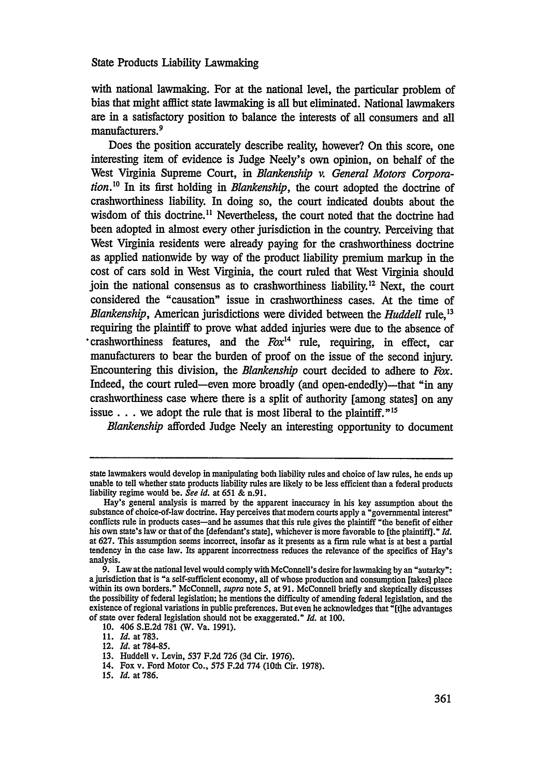with national lawmaking. For at the national level, the particular problem of bias that might afflict state lawmaking is all but eliminated. National lawmakers are in a satisfactory position to balance the interests of all consumers and all manufacturers.<sup>9</sup>

Does the position accurately describe reality, however? On this score, one interesting item of evidence is Judge Neely's own opinion, on behalf of the West Virginia Supreme Court, in *Blankenship v. General Motors Corporation."'* In its first holding in *Blankenship,* the court adopted the doctrine of crashworthiness liability. In doing so, the court indicated doubts about the wisdom of this doctrine.<sup>11</sup> Nevertheless, the court noted that the doctrine had been adopted in almost every other jurisdiction in the country. Perceiving that West Virginia residents were already paying for the crashworthiness doctrine as applied nationwide by way of the product liability premium markup in the cost of cars sold in West Virginia, the court ruled that West Virginia should join the national consensus as to crashworthiness liability.<sup>12</sup> Next, the court considered the "causation" issue in crashworthiness cases. At the time of *Blankenship,* American jurisdictions were divided between the *Huddell rule,'3* requiring the plaintiff to prove what added injuries were due to the absence of 1crashworthiness features, and the *Fox4* rule, requiring, in effect, car manufacturers to bear the burden of proof on the issue of the second injury. Encountering this division, the *Blankenship* court decided to adhere to *Fox.* Indeed, the court ruled-even more broadly (and open-endedly)--that "in any crashworthiness case where there is a split of authority [among states] on any issue... we adopt the rule that is most liberal to the plaintiff."<sup>15</sup>

*Blankenship* afforded Judge Neely an interesting opportunity to document

state lawmakers would develop in manipulating both liability rules and choice of law rules, he ends up unable to tell whether state products liability rules are likely to be less efficient than a federal products liability regime would be. *See id.* at 651 & n.91.

Hay's general analysis is marred by the apparent inaccuracy in his key assumption about the substance of choice-of-law doctrine. Hay perceives that modem courts apply a "governmental interest" conflicts rule in products cases-and he assumes that this rule gives the plaintiff "the benefit of either his own state's law or that of the [defendant's state], whichever is more favorable to [the plaintiff]." *Id.* at 627. This assumption seems incorrect, insofar as it presents as a **firm** rule what is at best a partial tendency in the case law. Its apparent incorrectness reduces the relevance of the specifics of Hay's analysis.

<sup>9.</sup> Law at the national level would comply with McConnell's desire for lawmaking by an "autarky": a jurisdiction that is "a self-sufficient economy, all of whose production and consumption [takes] place within its own borders." McConnell, *supra* note 5, at 91. McConnell briefly and skeptically discusses the possibility of federal legislation; he mentions the difficulty of amending federal legislation, and the existence of regional variations in public preferences. But even he acknowledges that "[t]he advantages of state over federal legislation should not be exaggerated." *Id.* at 100.

<sup>10. 406</sup> S.E.2d 781 (W. Va. 1991).

<sup>11.</sup> *Id.* at 783.

<sup>12.</sup> *Id.* at **784-85.**

<sup>13.</sup> Huddell v. Levin, 537 F.2d 726 (3d Cir. 1976).

<sup>14.</sup> Fox v. Ford Motor Co., 575 F.2d **774** (10th Cir. 1978).

<sup>15.</sup> *Id.* at 786.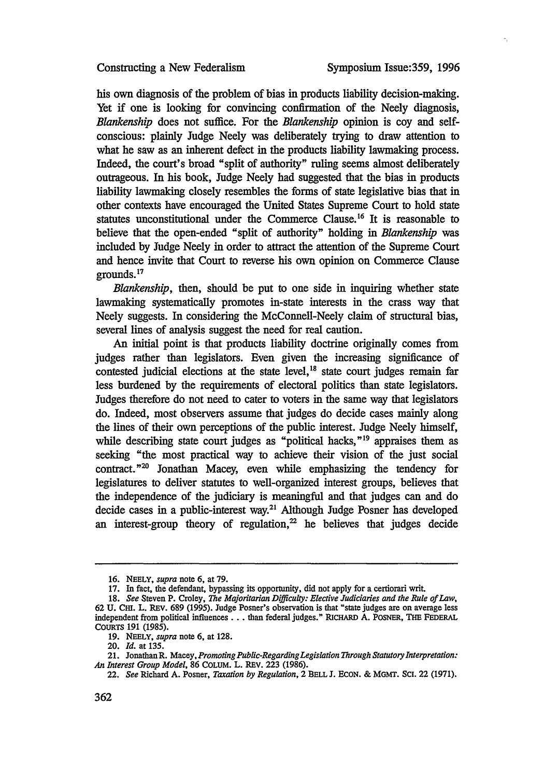his own diagnosis of the problem of bias in products liability decision-making. Yet if one is looking for convincing confirmation of the Neely diagnosis, *Blankenship* does not suffice. For the *Blankenship* opinion is coy and selfconscious: plainly Judge Neely was deliberately trying to draw attention to what he saw as an inherent defect in the products liability lawmaking process. Indeed, the court's broad "split of authority" ruling seems almost deliberately outrageous. In his book, Judge Neely had suggested that the bias in products liability lawmaking closely resembles the forms of state legislative bias that in other contexts have encouraged the United States Supreme Court to hold state statutes unconstitutional under the Commerce Clause.<sup>16</sup> It is reasonable to believe that the open-ended "split of authority" holding in *Blankenship was* included by Judge Neely in order to attract the attention of the Supreme Court and hence invite that Court to reverse his own opinion on Commerce Clause grounds. 17

*Blankenship,* then, should be put to one side in inquiring whether state lawmaking systematically promotes in-state interests in the crass way that Neely suggests. In considering the McConnell-Neely claim of structural bias, several lines of analysis suggest the need for real caution.

An initial point is that products liability doctrine originally comes from judges rather than legislators. Even given the increasing significance of contested judicial elections at the state level, $^{18}$  state court judges remain far less burdened by the requirements of electoral politics than state legislators. Judges therefore do not need to cater to voters in the same way that legislators do. Indeed, most observers assume that judges do decide cases mainly along the lines of their own perceptions of the public interest. Judge Neely himself, while describing state court judges as "political hacks,"<sup>19</sup> appraises them as seeking "the most practical way to achieve their vision of the just social contract."<sup>20</sup> Jonathan Macey, even while emphasizing the tendency for legislatures to deliver statutes to well-organized interest groups, believes that the independence of the judiciary is meaningful and that judges can and do decide cases in a public-interest way.<sup>21</sup> Although Judge Posner has developed an interest-group theory of regulation, $22$  he believes that judges decide

<sup>16.</sup> NEELY, *supra* note 6, at 79.

<sup>17.</sup> In fact, the defendant, bypassing its opportunity, did not apply for a certiorari writ.

<sup>18.</sup> *See* Steven P. Croley, *The Majoritarian Difficulty: Elective Judiciaries and the Rule of Law,* 62 U. Cmi. L. REv. 689 (1995). Judge Posner's observation is that "state judges are on average less independent from political influences... than federal judges." RICHARD A. POSNER, **THE** FEDERAL COURTS 191 (1985).

<sup>19.</sup> NEELY, *supra* note **6,** at 128.

<sup>20.</sup> *Id.* at 135.

<sup>21.</sup> JonathanR. Macey, *Promoting Public-RegardingLegislation Through Statutory Interpretation: An Interest Group Model,* 86 **COLUM.** L. REV. 223 (1986).

<sup>22.</sup> See Richard A. Posner, *Taxation by Regulation*, 2 BELL J. ECON. & MGMT. SCI. 22 (1971).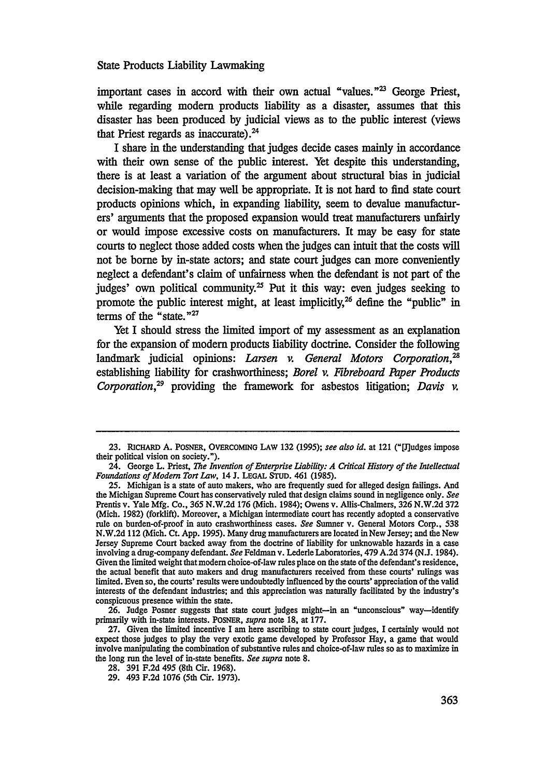important cases in accord with their own actual "values."<sup>23</sup> George Priest, while regarding modem products liability as a disaster, assumes that this disaster has been produced by judicial views as to the public interest (views that Priest regards as inaccurate). $2$ 

I share in the understanding that judges decide cases mainly in accordance with their own sense of the public interest. Yet despite this understanding, there is at least a variation of the argument about structural bias in judicial decision-making that may well be appropriate. It is not hard to find state court products opinions which, in expanding liability, seem to devalue manufacturers' arguments that the proposed expansion would treat manufacturers unfairly or would impose excessive costs on manufacturers. It may be easy for state courts to neglect those added costs when the judges can intuit that the costs will not be borne by in-state actors; and state court judges can more conveniently neglect a defendant's claim of unfairness when the defendant is not part of the judges' own political community.<sup>25</sup> Put it this way: even judges seeking to promote the public interest might, at least implicitly,<sup>26</sup> define the "public" in terms of the "state."<sup>27</sup>

Yet I should stress the limited import of my assessment as an explanation for the expansion of modem products liability doctrine. Consider the following landmark judicial opinions: *Larsen v. General Motors Corporation*,<sup>28</sup> establishing liability for crashworthiness; *Borel v. Fibreboard Paper Products Corporation,29* providing the framework for asbestos litigation; *Davis v.*

<sup>23.</sup> RICHARD A. POSNER, OVERCOMING LAW 132 (1995); see also *id.* at 121 ("[J]udges impose their political vision on society.").

<sup>24.</sup> George L. Priest, *The Invention of Enterprise Liability: A Critical History of the Intellectual Foundations of Modem Tort Law,* 14 J. LEGAL STUD. 461 (1985).

<sup>25.</sup> Michigan is a state of auto makers, who are frequently sued for alleged design failings. And the Michigan Supreme Court has conservatively ruled that design claims sound in negligence only. *See* Prentis v. Yale Mfg. Co., 365 N.W.2d 176 (Mich. 1984); Owens v. Allis-Chalmers, 326 N.W.2d 372 (Mich. 1982) (forklift). Moreover, a Michigan intermediate court has recently adopted a conservative rule on burden-of-proof in auto crashworthiness cases. *See* Sumner v. General Motors Corp., 538 N.W.2d 112 (Mich. Ct. App. 1995). Many drug manufacturers are located in New Jersey; and the New Jersey Supreme Court backed away from the doctrine of liability for unknowable hazards in a case involving a drug-company defendant. *See* Feldman v. Lederle Laboratories, 479 A.2d 374 (N.J. 1984). Given the limited weight that modem choice-of-law rules place on the state of the defendant's residence, the actual benefit that auto makers and drug manufacturers received from these courts' rulings was limited. Even so, the courts' results were undoubtedly influenced by the courts' appreciation of the valid interests of the defendant industries; and this appreciation was naturally facilitated by the industry's conspicuous presence within the state.

**<sup>26.</sup>** Judge Posuer suggests that state court judges might-in an "unconscious" way-identify primarily with in-state interests. POSNER, *supra* note 18, at 177.

<sup>27.</sup> Given the limited incentive I am here ascribing to state court judges, I certainly would not expect those judges to play the very exotic game developed by Professor Hay, a game that would involve manipulating the combination of substantive rules and choice-of-law rules so as to maximize in the long **run** the level of in-state benefits. *See supra* note 8.

<sup>28.</sup> **391** F.2d 495 (8th Cir. 1968).

**<sup>29.</sup>** 493 F.2d **1076** (5th Cir. **1973).**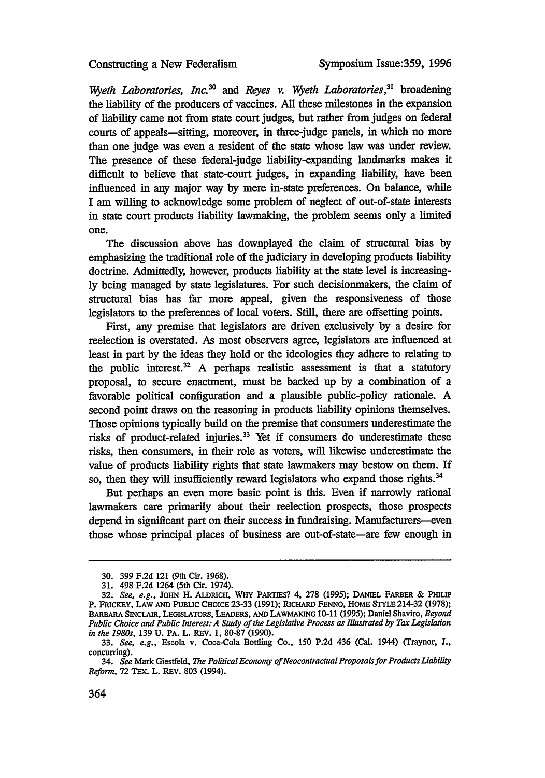# Constructing a New Federalism

*Wyeth Laboratories, Inc.<sup>30</sup> and Reyes v. Wyeth Laboratories,<sup>31</sup> broadening* the liability of the producers of vaccines. All these milestones in the expansion of liability came not from state court judges, but rather from judges on federal courts of appeals-sitting, moreover, in three-judge panels, in which no more than one judge was even a resident of the state whose law was under review. The presence of these federal-judge liability-expanding landmarks makes it difficult to believe that state-court judges, in expanding liability, have been influenced in any major way by mere in-state preferences. On balance, while I am willing to acknowledge some problem of neglect of out-of-state interests in state court products liability lawmaking, the problem seems only a limited one.

The discussion above has downplayed the claim of structural bias by emphasizing the traditional role of the judiciary in developing products liability doctrine. Admittedly, however, products liability at the state level is increasingly being managed by state legislatures. For such decisionmakers, the claim of structural bias has far more appeal, given the responsiveness of those legislators to the preferences of local voters. Still, there are offsetting points.

First, any premise that legislators are driven exclusively by a desire for reelection is overstated. As most observers agree, legislators are influenced at least in part by the ideas they hold or the ideologies they adhere to relating to the public interest.<sup>32</sup> A perhaps realistic assessment is that a statutory proposal, to secure enactment, must be backed up by a combination of a favorable political configuration and a plausible public-policy rationale. A second point draws on the reasoning in products liability opinions themselves. Those opinions typically build on the premise that consumers underestimate the risks of product-related injuries.<sup>33</sup> Yet if consumers do underestimate these risks, then consumers, in their role as voters, will likewise underestimate the value of products liability rights that state lawmakers may bestow on them. If so, then they will insufficiently reward legislators who expand those rights.<sup>34</sup>

But perhaps an even more basic point is this. Even if narrowly rational lawmakers care primarily about their reelection prospects, those prospects depend in significant part on their success in fundraising. Manufacturers-even those whose principal places of business are out-of-state-are few enough in

**<sup>30.</sup>** 399 F.2d 121 (9th Cir. 1968).

**<sup>31.</sup>** 498 F.2d 1264 (5th Cir. 1974).

**<sup>32.</sup>** *See, e.g.,* **JOHN** H. ALDRICH, WHY PARTIES? 4, **278 (1995); DANIEL** FARBER **& PHILIP** P. FRICKEY, LAW **AND** PUBLIC CHOICE **23-33 (1991); RICHARD** FENNO, HOME **STYLE** 214-32 **(1978);** BARBARA **SINCLAIR, LEGISLATORS,** LEADERS, **AND LAWMAKING 10-11 (1995);** Daniel Shaviro, *Beyond Public Choice and Public Interest: A Study of the Legislative Process as Illustrated by Tax Legislation in the 1980s,* 139 U. PA. L. REV. 1, 80-87 (1990).

**<sup>33.</sup>** *See, e.g.,* Escola v. Coca-Cola Bottling Co., 150 P.2d 436 (Cal. 1944) (Traynor, **J.,** concurring).

<sup>34.</sup> *See* Mark Giestfeld, *The Political Economy of Neocontractual Proposals for Products Liability Refonn,* **72** TEX. L. REV. **803** (1994).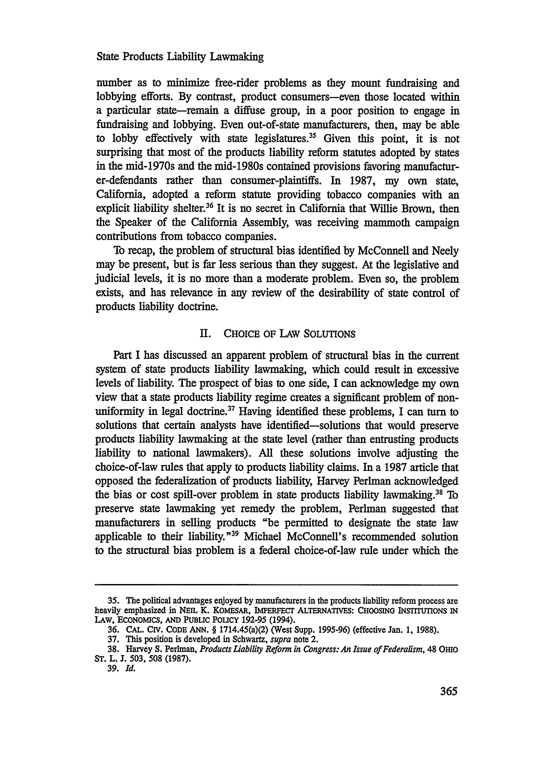number as to minimize free-rider problems as they mount fundraising and lobbying efforts. By contrast, product consumers-even those located within a particular state-remain a diffuse group, in a poor position to engage in fundraising and lobbying. Even out-of-state manufacturers, then, may be able to lobby effectively with state legislatures.<sup>35</sup> Given this point, it is not surprising that most of the products liability reform statutes adopted by states in the mid-1970s and the mid-1980s contained provisions favoring manufacturer-defendants rather than consumer-plaintiffs. In 1987, my own state, California, adopted a reform statute providing tobacco companies with an explicit liability shelter.<sup>36</sup> It is no secret in California that Willie Brown, then the Speaker of the California Assembly, was receiving mammoth campaign contributions from tobacco companies.

To recap, the problem of structural bias identified by McConnell and Neely may be present, but is far less serious than they suggest. At the legislative and judicial levels, it is no more than a moderate problem. Even so, the problem exists, and has relevance in any review of the desirability of state control of products liability doctrine.

# II. CHOICE OF LAW SOLUTIONS

Part I has discussed an apparent problem of structural bias in the current system of state products liability lawmaking, which could result in excessive levels of liability. The prospect of bias to one side, I can acknowledge my own view that a state products liability regime creates a significant problem of nonuniformity in legal doctrine.<sup>37</sup> Having identified these problems, I can turn to solutions that certain analysts have identified-solutions that would preserve products liability lawmaking at the state level (rather than entrusting products liability to national lawmakers). All these solutions involve adjusting the choice-of-law rules that apply to products liability claims. In a 1987 article that opposed the federalization of products liability, Harvey Perlman acknowledged the bias or cost spill-over problem in state products liability lawmaking. 38 To preserve state lawmaking yet remedy the problem, Perlman suggested that manufacturers in selling products "be permitted to designate the state law applicable to their liability."<sup>39</sup> Michael McConnell's recommended solution to the structural bias problem is a federal choice-of-law rule under which the

**<sup>35.</sup>** The political advantages enjoyed **by** manufacturers in the products liability reform process are heavily emphasized in NEIL K. KOMESAR, IMPERFECr ALTERNATIVES: **CHOOSING INSITrUIIONS IN** LAW, EcONOMIcS, AND PuBuc PoLIcY **192-95** (1994).

<sup>36.</sup> **CAL. CrV.** CODE ANN. § 1714.45(a)(2) (West Supp. 1995-96) (effective Jan. 1, 1988).

<sup>37.</sup> This position is developed in Schwartz, *supra* note 2.

<sup>38.</sup> Harvey **S.** Perlman, *Products Liability Reform in Congress: An Issue of Federalism,* 48 OHIO **ST.** L. J. 503, 508 (1987).

<sup>39.</sup> *Id.*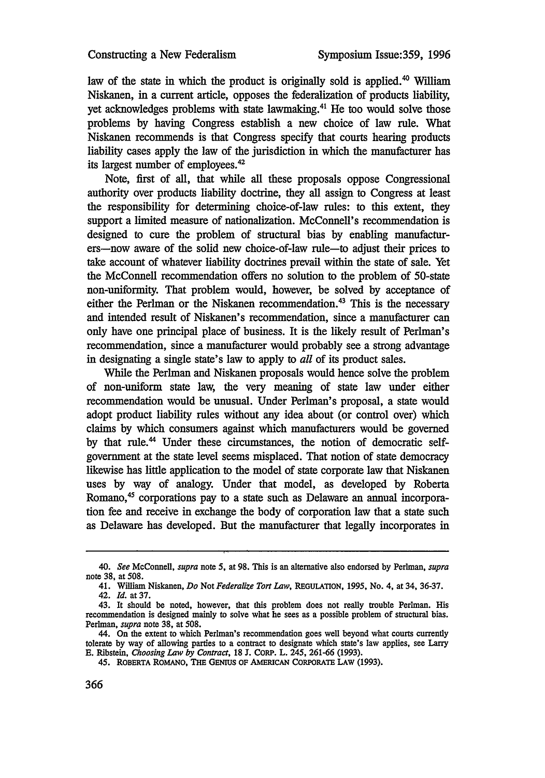law of the state in which the product is originally sold is applied.<sup>40</sup> William Niskanen, in a current article, opposes the federalization of products liability, yet acknowledges problems with state lawmaking.<sup>41</sup> He too would solve those problems by having Congress establish a new choice of law rule. What Niskanen recommends is that Congress specify that courts hearing products liability cases apply the law of the jurisdiction in which the manufacturer has its largest number of employees.42

Note, first of all, that while all these proposals oppose Congressional authority over products liability doctrine, they all assign to Congress at least the responsibility for determining choice-of-law rules: to this extent, they support a limited measure of nationalization. McConnell's recommendation is designed to cure the problem of structural bias by enabling manufacturers-now aware of the solid new choice-of-law rule-to adjust their prices to take account of whatever liability doctrines prevail within the state of sale. Yet the McConnell recommendation offers no solution to the problem of 50-state non-uniformity. That problem would, however, be solved by acceptance of either the Perlman or the Niskanen recommendation.<sup>43</sup> This is the necessary and intended result of Niskanen's recommendation, since a manufacturer can only have one principal place of business. It is the likely result of Perlman's recommendation, since a manufacturer would probably see a strong advantage in designating a single state's law to apply to *all* of its product sales.

While the Perlman and Niskanen proposals would hence solve the problem of non-uniform state law, the very meaning of state law under either recommendation would be unusual. Under Perlman's proposal, a state would adopt product liability rules without any idea about (or control over) which claims by which consumers against which manufacturers would be governed by that rule.<sup>44</sup> Under these circumstances, the notion of democratic selfgovernment at the state level seems misplaced. That notion of state democracy likewise has little application to the model of state corporate law that Niskanen uses by way of analogy. Under that model, as developed by Roberta Romano,<sup>45</sup> corporations pay to a state such as Delaware an annual incorporation fee and receive in exchange the body of corporation law that a state such as Delaware has developed. But the manufacturer that legally incorporates in

*<sup>40.</sup> See* McConnell, *supra* note **5,** at 98. This is an alternative also endorsed by Perlman, *supra* note **38,** at **508.**

<sup>41.</sup> William Niskanen, *Do* Not *Federalize Tort Law,* **REGULATION,** 1995, No. 4, at 34, 36-37.

<sup>42.</sup> **Id.** at 37.

<sup>43.</sup> It should be noted, however, that this problem does not really trouble Perlman. His recommendation is designed mainly to solve what he sees as a possible problem of structural bias. Perlman, *supra* note **38,** at 508.

<sup>44.</sup> On the extent to which Perlman's recommendation goes well beyond what courts currently tolerate by way of allowing parties to a contract to designate which state's law applies, see Larry **E.** Ribstein, *Choosing Law by Contract,* 18 **J.** CORP. L. 245, 261-66 (1993).

<sup>45.</sup> ROBERTA ROMANO, **THE** GENIUS OF **AMERICAN** CORPORATE **LAW (1993).**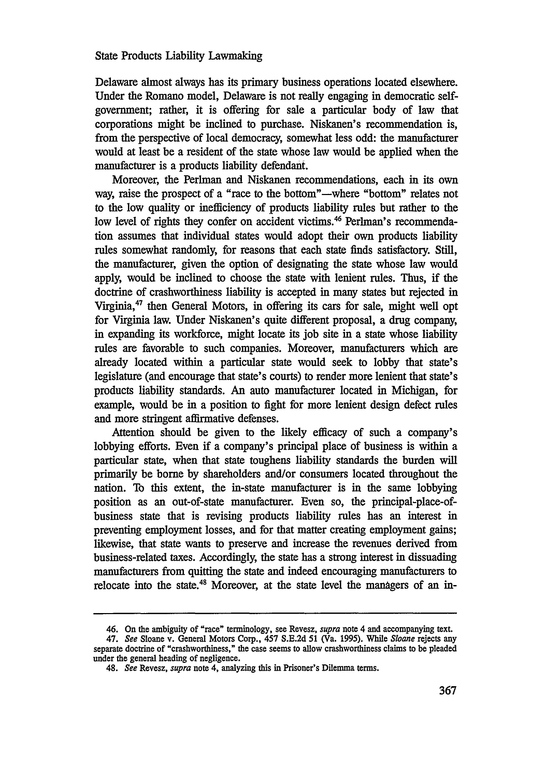Delaware almost always has its primary business operations located elsewhere. Under the Romano model, Delaware is not really engaging in democratic selfgovernment; rather, it is offering for sale a particular body of law that corporations might be inclined to purchase. Niskanen's recommendation is, from the perspective of local democracy, somewhat less odd: the manufacturer would at least be a resident of the state whose law would be applied when the manufacturer is a products liability defendant.

Moreover, the Perlman and Niskanen recommendations, each in its own way, raise the prospect of a "race to the bottom"—where "bottom" relates not to the low quality or inefficiency of products liability rules but rather to the low level of rights they confer on accident victims.<sup>46</sup> Perlman's recommendation assumes that individual states would adopt their own products liability rules somewhat randomly, for reasons that each state finds satisfactory. Still, the manufacturer, given the option of designating the state whose law would apply, would be inclined to choose the state with lenient rules. Thus, if the doctrine of crashworthiness liability is accepted in many states but rejected in Virginia,47 then General Motors, in offering its cars for sale, might well opt for Virginia law. Under Niskanen's quite different proposal, a drug company, in expanding its workforce, might locate its job site in a state whose liability rules are favorable to such companies. Moreover, manufacturers which are already located within a particular state would seek to lobby that state's legislature (and encourage that state's courts) to render more lenient that state's products liability standards. An auto manufacturer located in Michigan, for example, would be in a position to fight for more lenient design defect rules and more stringent affirmative defenses.

Attention should be given to the likely efficacy of such a company's lobbying efforts. Even if a company's principal place of business is within a particular state, when that state toughens liability standards the burden will primarily be borne by shareholders and/or consumers located throughout the nation. To this extent, the in-state manufacturer is in the same lobbying position as an out-of-state manufacturer. Even so, the principal-place-ofbusiness state that is revising products liability rules has an interest in preventing employment losses, and for that matter creating employment gains; likewise, that state wants to preserve and increase the revenues derived from business-related taxes. Accordingly, the state has a strong interest in dissuading manufacturers from quitting the state and indeed encouraging manufacturers to relocate into the state.<sup>48</sup> Moreover, at the state level the managers of an in-

<sup>46.</sup> On the ambiguity of "race" terminology, see Revesz, *supra* note 4 and accompanying text.

<sup>47.</sup> *See* Sloane v. General Motors Corp., 457 **S.E.2d** 51 (Va. 1995). While *Sloane* rejects any separate doctrine of "crashworthiness," the case seems to allow crashworthiness claims to be pleaded under the general heading of negligence.

<sup>48.</sup> *See* Revesz, *supra* note 4, analyzing this in Prisoner's Dilemma terms.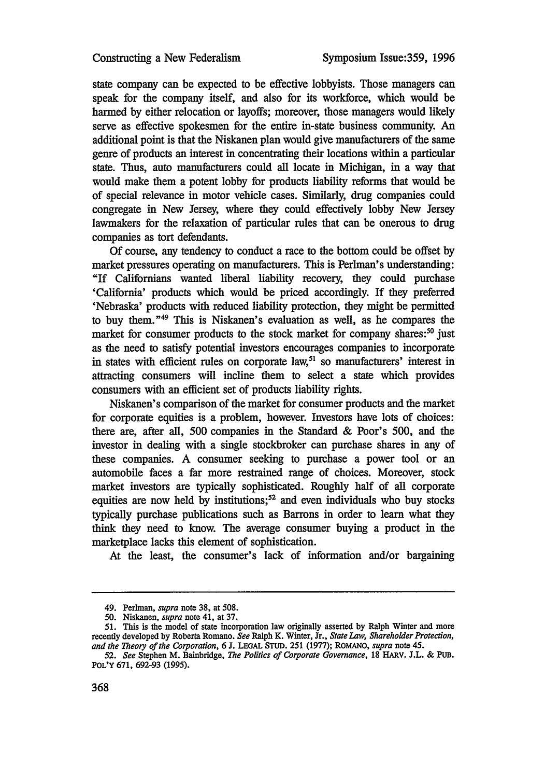state company can be expected to be effective lobbyists. Those managers can speak for the company itself, and also for its workforce, which would be harmed by either relocation or layoffs; moreover, those managers would likely serve as effective spokesmen for the entire in-state business community. An additional point is that the Niskanen plan would give manufacturers of the same genre of products an interest in concentrating their locations within a particular state. Thus, auto manufacturers could all locate in Michigan, in a way that would make them a potent lobby for products liability reforms that would be of special relevance in motor vehicle cases. Similarly, drug companies could congregate in New Jersey, where they could effectively lobby New Jersey lawmakers for the relaxation of particular rules that can be onerous to drug companies as tort defendants.

Of course, any tendency to conduct a race to the bottom could be offset by market pressures operating on manufacturers. This is Perlman's understanding: "If Californians wanted liberal liability recovery, they could purchase 'California' products which would be priced accordingly. If they preferred 'Nebraska' products with reduced liability protection, they might be permitted to buy them."49 This is Niskanen's evaluation as well, as he compares the market for consumer products to the stock market for company shares:<sup>50</sup> just as the need to satisfy potential investors encourages companies to incorporate in states with efficient rules on corporate law,<sup>51</sup> so manufacturers' interest in attracting consumers will incline them to select a state which provides consumers with an efficient set of products liability rights.

Niskanen's comparison of the market for consumer products and the market for corporate equities is a problem, however. Investors have lots of choices: there are, after all, 500 companies in the Standard & Poor's 500, and the investor in dealing with a single stockbroker can purchase shares in any of these companies. A consumer seeking to purchase a power tool or an automobile faces a far more restrained range of choices. Moreover, stock market investors are typically sophisticated. Roughly half of all corporate equities are now held by institutions;<sup>52</sup> and even individuals who buy stocks typically purchase publications such as Barrons in order to learn what they think they need to know. The average consumer buying a product in the marketplace lacks this element of sophistication.

At the least, the consumer's lack of information and/or bargaining

<sup>49.</sup> Perlman, *supra* note 38, at 508.

<sup>50.</sup> Niskanen, *supra* note 41, at 37.

<sup>51.</sup> This is the model of state incorporation law originally asserted by Ralph Winter and more recently developed by Roberta Romano. *See* Ralph K. Winter, Jr., *State Law, Shareholder Protection, and the Theory of the Corporation, 6* J. LEGAL STUD. 251 (1977); ROMANO, *supra* note 45.

*<sup>52.</sup> See* Stephen M. Bainbridge, *The Politics of Corporate Governance,* 18 HARv. J.L. & PUB. POL'Y 671, 692-93 (1995).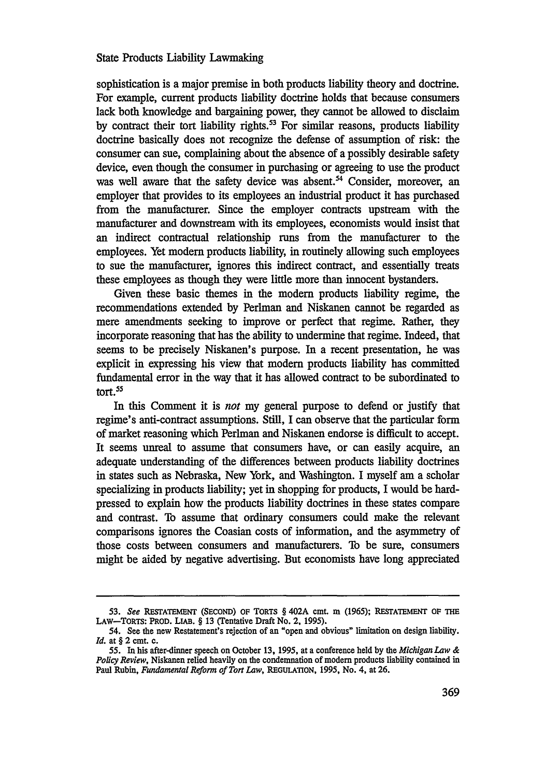sophistication is a major premise in both products liability theory and doctrine. For example, current products liability doctrine holds that because consumers lack both knowledge and bargaining power, they cannot be allowed to disclaim by contract their tort liability rights.<sup>53</sup> For similar reasons, products liability doctrine basically does not recognize the defense of assumption of risk: the consumer can sue, complaining about the absence of a possibly desirable safety device, even though the consumer in purchasing or agreeing to use the product was well aware that the safety device was absent.<sup>54</sup> Consider, moreover, an employer that provides to its employees an industrial product it has purchased from the manufacturer. Since the employer contracts upstream with the manufacturer and downstream with its employees, economists would insist that an indirect contractual relationship runs from the manufacturer to the employees. Yet modem products liability, in routinely allowing such employees to sue the manufacturer, ignores this indirect contract, and essentially treats these employees as though they were little more than innocent bystanders.

Given these basic themes in the modem products liability regime, the recommendations extended by Perlman and Niskanen cannot be regarded as mere amendments seeking to improve or perfect that regime. Rather, they incorporate reasoning that has the ability to undermine that regime. Indeed, that seems to be precisely Niskanen's purpose. In a recent presentation, he was explicit in expressing his view that modem products liability has committed fundamental error in the way that it has allowed contract to be subordinated to tort.<sup>55</sup>

In this Comment it is *not* my general purpose to defend or justify that regime's anti-contract assumptions. Still, I can observe that the particular form of market reasoning which Perlman and Niskanen endorse is difficult to accept. It seems unreal to assume that consumers have, or can easily acquire, an adequate understanding of the differences between products liability doctrines in states such as Nebraska, New York, and Washington. I myself am a scholar specializing in products liability; yet in shopping for products, I would be hardpressed to explain how the products liability doctrines in these states compare and contrast. To assume that ordinary consumers could make the relevant comparisons ignores the Coasian costs of information, and the asymmetry of those costs between consumers and manufacturers. To be sure, consumers might be aided by negative advertising. But economists have long appreciated

*<sup>53.</sup> See* **RFSTATEMENT (SECOND) OF** TORTS § 402A cmt. m (1965); **RESTATEMENT OF** THE LAW-TORTS: PROD. LIAB. § **13** (Tentative Draft No. 2, 1995).

<sup>54.</sup> See the new Restatement's rejection of an "open and obvious" limitation on design liability. *Id.* at § 2 cmt. **c.** 55. In his after-dinner speech on October 13, 1995, at a conference held by the *Michigan Law &*

*Policy Review,* Niskanen relied heavily on the condemnation of modem products liability contained in Paul Rubin, *Fundamental Reform of Tort Law,* REGULATiON, **1995,** No. 4, at **26.**